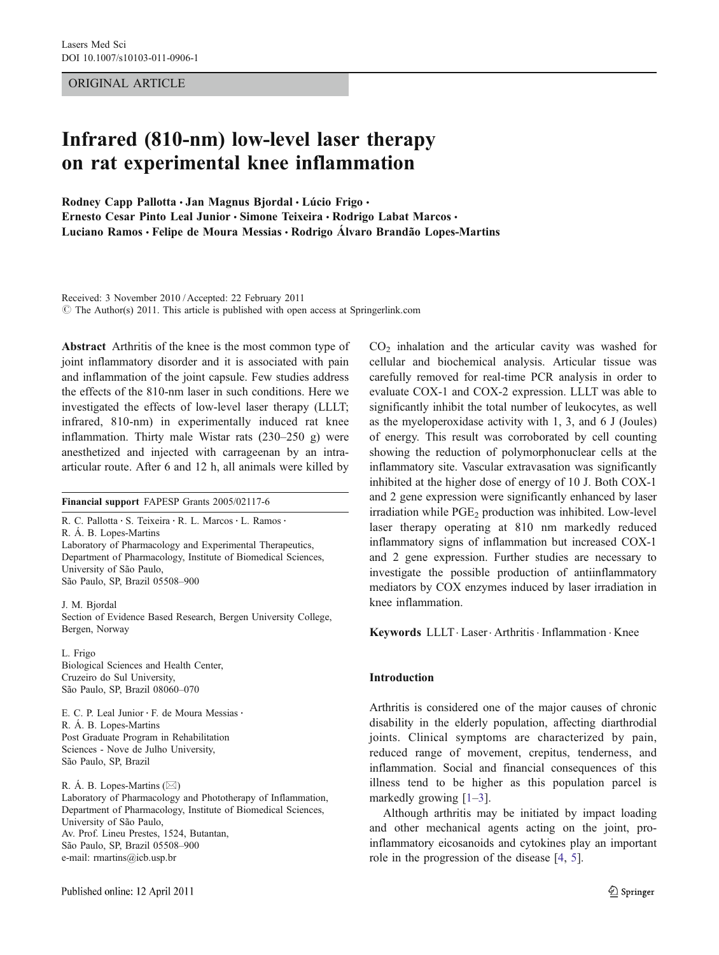ORIGINAL ARTICLE

# Infrared (810-nm) low-level laser therapy on rat experimental knee inflammation

Rodney Capp Pallotta · Jan Magnus Bjordal · Lúcio Frigo · Ernesto Cesar Pinto Leal Junior · Simone Teixeira · Rodrigo Labat Marcos · Luciano Ramos & Felipe de Moura Messias & Rodrigo Álvaro Brandão Lopes-Martins

Received: 3 November 2010 / Accepted: 22 February 2011 © The Author(s) 2011. This article is published with open access at Springerlink.com

Abstract Arthritis of the knee is the most common type of joint inflammatory disorder and it is associated with pain and inflammation of the joint capsule. Few studies address the effects of the 810-nm laser in such conditions. Here we investigated the effects of low-level laser therapy (LLLT; infrared, 810-nm) in experimentally induced rat knee inflammation. Thirty male Wistar rats (230–250 g) were anesthetized and injected with carrageenan by an intraarticular route. After 6 and 12 h, all animals were killed by

Financial support FAPESP Grants 2005/02117-6

R. C. Pallotta · S. Teixeira · R. L. Marcos · L. Ramos · R. Á. B. Lopes-Martins Laboratory of Pharmacology and Experimental Therapeutics, Department of Pharmacology, Institute of Biomedical Sciences, University of São Paulo, São Paulo, SP, Brazil 05508–900

J. M. Bjordal Section of Evidence Based Research, Bergen University College, Bergen, Norway

L. Frigo Biological Sciences and Health Center, Cruzeiro do Sul University, São Paulo, SP, Brazil 08060–070

E. C. P. Leal Junior · F. de Moura Messias · R. Á. B. Lopes-Martins Post Graduate Program in Rehabilitation Sciences - Nove de Julho University, São Paulo, SP, Brazil

R. Á. B. Lopes-Martins  $(\boxtimes)$ Laboratory of Pharmacology and Phototherapy of Inflammation, Department of Pharmacology, Institute of Biomedical Sciences, University of São Paulo, Av. Prof. Lineu Prestes, 1524, Butantan, São Paulo, SP, Brazil 05508–900 e-mail: rmartins@icb.usp.br

Published online: 12 April 2011

 $CO<sub>2</sub>$  inhalation and the articular cavity was washed for cellular and biochemical analysis. Articular tissue was carefully removed for real-time PCR analysis in order to evaluate COX-1 and COX-2 expression. LLLT was able to significantly inhibit the total number of leukocytes, as well as the myeloperoxidase activity with 1, 3, and 6 J (Joules) of energy. This result was corroborated by cell counting showing the reduction of polymorphonuclear cells at the inflammatory site. Vascular extravasation was significantly inhibited at the higher dose of energy of 10 J. Both COX-1 and 2 gene expression were significantly enhanced by laser irradiation while PGE<sub>2</sub> production was inhibited. Low-level laser therapy operating at 810 nm markedly reduced inflammatory signs of inflammation but increased COX-1 and 2 gene expression. Further studies are necessary to investigate the possible production of antiinflammatory mediators by COX enzymes induced by laser irradiation in knee inflammation.

Keywords LLLT · Laser · Arthritis · Inflammation · Knee

#### Introduction

Arthritis is considered one of the major causes of chronic disability in the elderly population, affecting diarthrodial joints. Clinical symptoms are characterized by pain, reduced range of movement, crepitus, tenderness, and inflammation. Social and financial consequences of this illness tend to be higher as this population parcel is markedly growing  $[1-3]$  $[1-3]$  $[1-3]$  $[1-3]$ .

Although arthritis may be initiated by impact loading and other mechanical agents acting on the joint, proinflammatory eicosanoids and cytokines play an important role in the progression of the disease [\[4](#page-6-0), [5](#page-6-0)].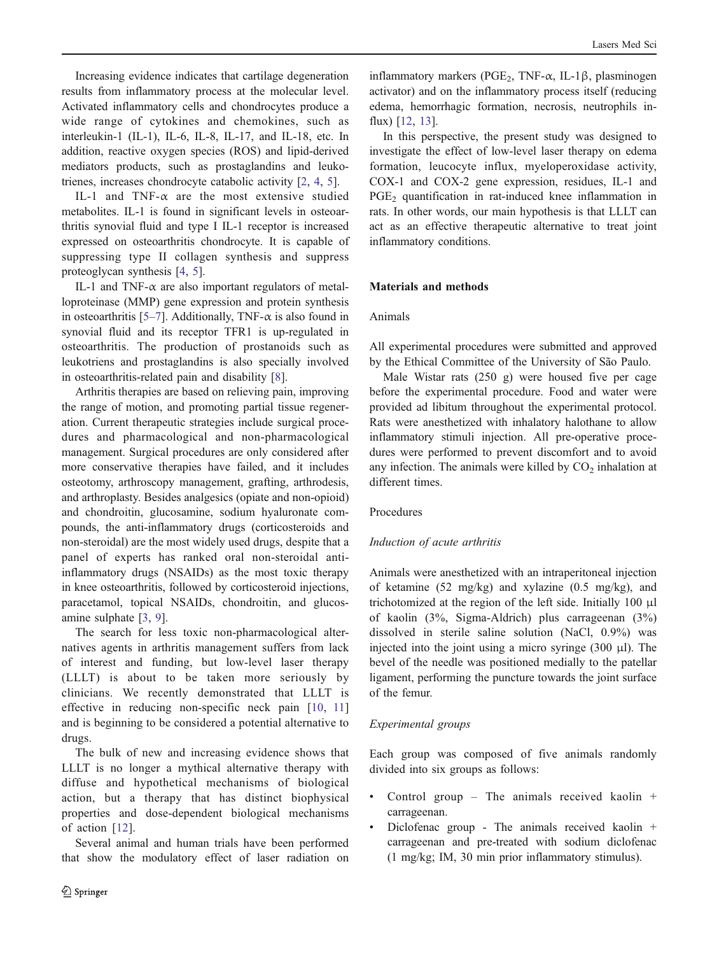Increasing evidence indicates that cartilage degeneration results from inflammatory process at the molecular level. Activated inflammatory cells and chondrocytes produce a wide range of cytokines and chemokines, such as interleukin-1 (IL-1), IL-6, IL-8, IL-17, and IL-18, etc. In addition, reactive oxygen species (ROS) and lipid-derived mediators products, such as prostaglandins and leukotrienes, increases chondrocyte catabolic activity [[2](#page-6-0), [4](#page-6-0), [5](#page-6-0)].

IL-1 and TNF- $\alpha$  are the most extensive studied metabolites. IL-1 is found in significant levels in osteoarthritis synovial fluid and type I IL-1 receptor is increased expressed on osteoarthritis chondrocyte. It is capable of suppressing type II collagen synthesis and suppress proteoglycan synthesis [[4,](#page-6-0) [5\]](#page-6-0).

IL-1 and TNF- $\alpha$  are also important regulators of metalloproteinase (MMP) gene expression and protein synthesis in osteoarthritis [[5](#page-6-0)–[7\]](#page-6-0). Additionally, TNF- $\alpha$  is also found in synovial fluid and its receptor TFR1 is up-regulated in osteoarthritis. The production of prostanoids such as leukotriens and prostaglandins is also specially involved in osteoarthritis-related pain and disability [[8\]](#page-6-0).

Arthritis therapies are based on relieving pain, improving the range of motion, and promoting partial tissue regeneration. Current therapeutic strategies include surgical procedures and pharmacological and non-pharmacological management. Surgical procedures are only considered after more conservative therapies have failed, and it includes osteotomy, arthroscopy management, grafting, arthrodesis, and arthroplasty. Besides analgesics (opiate and non-opioid) and chondroitin, glucosamine, sodium hyaluronate compounds, the anti-inflammatory drugs (corticosteroids and non-steroidal) are the most widely used drugs, despite that a panel of experts has ranked oral non-steroidal antiinflammatory drugs (NSAIDs) as the most toxic therapy in knee osteoarthritis, followed by corticosteroid injections, paracetamol, topical NSAIDs, chondroitin, and glucosamine sulphate [[3,](#page-6-0) [9\]](#page-6-0).

The search for less toxic non-pharmacological alternatives agents in arthritis management suffers from lack of interest and funding, but low-level laser therapy (LLLT) is about to be taken more seriously by clinicians. We recently demonstrated that LLLT is effective in reducing non-specific neck pain [[10](#page-7-0), [11\]](#page-7-0) and is beginning to be considered a potential alternative to drugs.

The bulk of new and increasing evidence shows that LLLT is no longer a mythical alternative therapy with diffuse and hypothetical mechanisms of biological action, but a therapy that has distinct biophysical properties and dose-dependent biological mechanisms of action [\[12\]](#page-7-0).

Several animal and human trials have been performed that show the modulatory effect of laser radiation on

inflammatory markers (PGE<sub>2</sub>, TNF- $\alpha$ , IL-1 $\beta$ , plasminogen activator) and on the inflammatory process itself (reducing edema, hemorrhagic formation, necrosis, neutrophils influx) [[12,](#page-7-0) [13\]](#page-7-0).

In this perspective, the present study was designed to investigate the effect of low-level laser therapy on edema formation, leucocyte influx, myeloperoxidase activity, COX-1 and COX-2 gene expression, residues, IL-1 and PGE<sub>2</sub> quantification in rat-induced knee inflammation in rats. In other words, our main hypothesis is that LLLT can act as an effective therapeutic alternative to treat joint inflammatory conditions.

# Materials and methods

# Animals

All experimental procedures were submitted and approved by the Ethical Committee of the University of São Paulo.

Male Wistar rats (250 g) were housed five per cage before the experimental procedure. Food and water were provided ad libitum throughout the experimental protocol. Rats were anesthetized with inhalatory halothane to allow inflammatory stimuli injection. All pre-operative procedures were performed to prevent discomfort and to avoid any infection. The animals were killed by  $CO<sub>2</sub>$  inhalation at different times.

## Procedures

# Induction of acute arthritis

Animals were anesthetized with an intraperitoneal injection of ketamine (52 mg/kg) and xylazine (0.5 mg/kg), and trichotomized at the region of the left side. Initially 100 μl of kaolin (3%, Sigma-Aldrich) plus carrageenan (3%) dissolved in sterile saline solution (NaCl, 0.9%) was injected into the joint using a micro syringe (300 μl). The bevel of the needle was positioned medially to the patellar ligament, performing the puncture towards the joint surface of the femur.

## Experimental groups

Each group was composed of five animals randomly divided into six groups as follows:

- & Control group The animals received kaolin + carrageenan.
- Diclofenac group The animals received kaolin + carrageenan and pre-treated with sodium diclofenac (1 mg/kg; IM, 30 min prior inflammatory stimulus).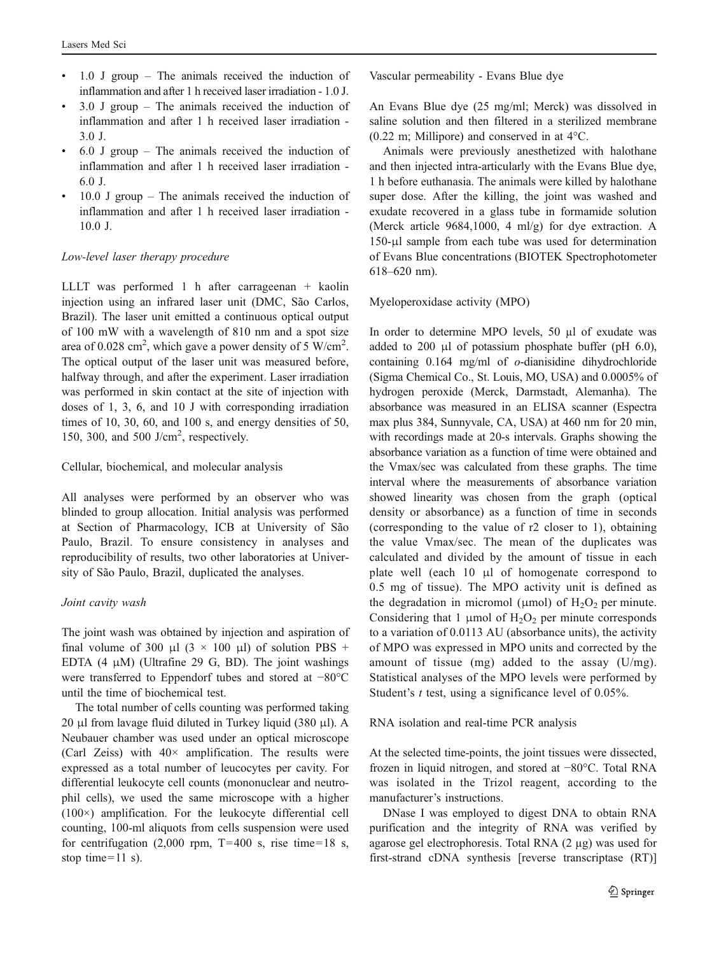- $1.0$  J group The animals received the induction of inflammation and after 1 h received laser irradiation - 1.0 J.
- $3.0$  J group The animals received the induction of inflammation and after 1 h received laser irradiation - 3.0 J.
- & 6.0 J group The animals received the induction of inflammation and after 1 h received laser irradiation - 6.0 J.
- $10.0$  J group The animals received the induction of inflammation and after 1 h received laser irradiation - 10.0 J.

## Low-level laser therapy procedure

LLLT was performed 1 h after carrageenan + kaolin injection using an infrared laser unit (DMC, São Carlos, Brazil). The laser unit emitted a continuous optical output of 100 mW with a wavelength of 810 nm and a spot size area of 0.028 cm<sup>2</sup>, which gave a power density of 5 W/cm<sup>2</sup>. The optical output of the laser unit was measured before, halfway through, and after the experiment. Laser irradiation was performed in skin contact at the site of injection with doses of 1, 3, 6, and 10 J with corresponding irradiation times of 10, 30, 60, and 100 s, and energy densities of 50, 150, 300, and 500 J/cm<sup>2</sup> , respectively.

## Cellular, biochemical, and molecular analysis

All analyses were performed by an observer who was blinded to group allocation. Initial analysis was performed at Section of Pharmacology, ICB at University of São Paulo, Brazil. To ensure consistency in analyses and reproducibility of results, two other laboratories at University of São Paulo, Brazil, duplicated the analyses.

#### Joint cavity wash

The joint wash was obtained by injection and aspiration of final volume of 300 μl  $(3 \times 100 \text{ μ})$  of solution PBS + EDTA  $(4 \mu M)$  (Ultrafine 29 G, BD). The joint washings were transferred to Eppendorf tubes and stored at −80°C until the time of biochemical test.

The total number of cells counting was performed taking 20 μl from lavage fluid diluted in Turkey liquid (380 μl). A Neubauer chamber was used under an optical microscope (Carl Zeiss) with  $40 \times$  amplification. The results were expressed as a total number of leucocytes per cavity. For differential leukocyte cell counts (mononuclear and neutrophil cells), we used the same microscope with a higher (100×) amplification. For the leukocyte differential cell counting, 100-ml aliquots from cells suspension were used for centrifugation  $(2,000 \text{ rpm}, T=400 \text{ s}, \text{rise time}=18 \text{ s},$ stop time=11 s).

Vascular permeability - Evans Blue dye

An Evans Blue dye (25 mg/ml; Merck) was dissolved in saline solution and then filtered in a sterilized membrane (0.22 m; Millipore) and conserved in at 4°C.

Animals were previously anesthetized with halothane and then injected intra-articularly with the Evans Blue dye, 1 h before euthanasia. The animals were killed by halothane super dose. After the killing, the joint was washed and exudate recovered in a glass tube in formamide solution (Merck article 9684,1000, 4 ml/g) for dye extraction. A 150-μl sample from each tube was used for determination of Evans Blue concentrations (BIOTEK Spectrophotometer 618–620 nm).

#### Myeloperoxidase activity (MPO)

In order to determine MPO levels, 50 µl of exudate was added to 200 μl of potassium phosphate buffer (pH 6.0), containing 0.164 mg/ml of o-dianisidine dihydrochloride (Sigma Chemical Co., St. Louis, MO, USA) and 0.0005% of hydrogen peroxide (Merck, Darmstadt, Alemanha). The absorbance was measured in an ELISA scanner (Espectra max plus 384, Sunnyvale, CA, USA) at 460 nm for 20 min, with recordings made at 20-s intervals. Graphs showing the absorbance variation as a function of time were obtained and the Vmax/sec was calculated from these graphs. The time interval where the measurements of absorbance variation showed linearity was chosen from the graph (optical density or absorbance) as a function of time in seconds (corresponding to the value of r2 closer to 1), obtaining the value Vmax/sec. The mean of the duplicates was calculated and divided by the amount of tissue in each plate well (each 10 μl of homogenate correspond to 0.5 mg of tissue). The MPO activity unit is defined as the degradation in micromol ( $\mu$ mol) of H<sub>2</sub>O<sub>2</sub> per minute. Considering that 1 µmol of  $H_2O_2$  per minute corresponds to a variation of 0.0113 AU (absorbance units), the activity of MPO was expressed in MPO units and corrected by the amount of tissue (mg) added to the assay (U/mg). Statistical analyses of the MPO levels were performed by Student's *t* test, using a significance level of 0.05%.

RNA isolation and real-time PCR analysis

At the selected time-points, the joint tissues were dissected, frozen in liquid nitrogen, and stored at −80°C. Total RNA was isolated in the Trizol reagent, according to the manufacturer's instructions.

DNase I was employed to digest DNA to obtain RNA purification and the integrity of RNA was verified by agarose gel electrophoresis. Total RNA (2 µg) was used for first-strand cDNA synthesis [reverse transcriptase (RT)]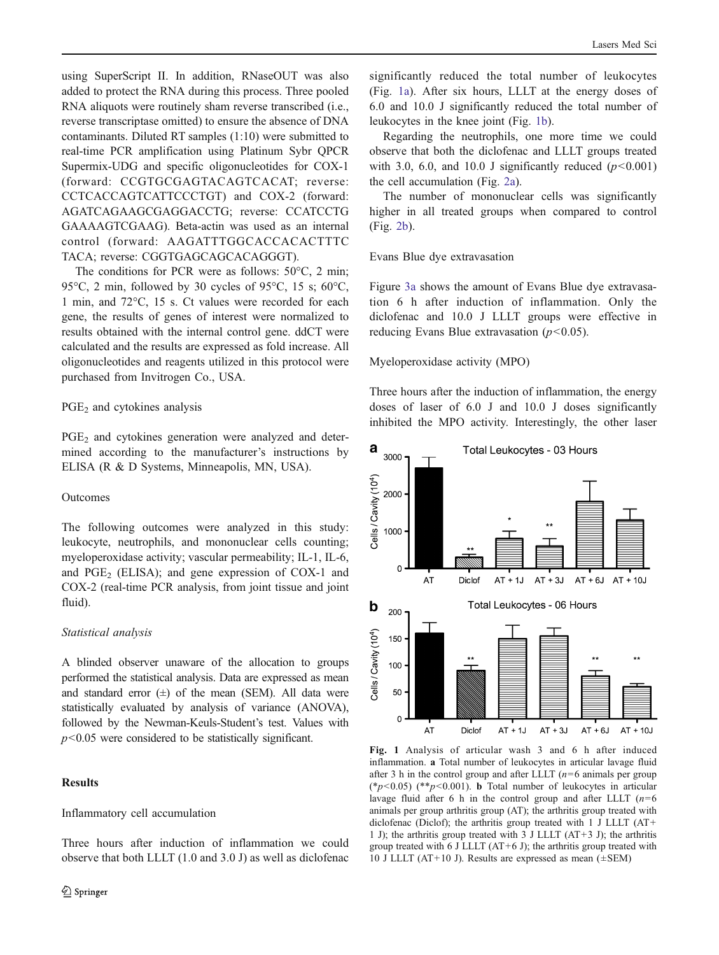using SuperScript II. In addition, RNaseOUT was also added to protect the RNA during this process. Three pooled RNA aliquots were routinely sham reverse transcribed (i.e., reverse transcriptase omitted) to ensure the absence of DNA contaminants. Diluted RT samples (1:10) were submitted to real-time PCR amplification using Platinum Sybr QPCR Supermix-UDG and specific oligonucleotides for COX-1 (forward: CCGTGCGAGTACAGTCACAT; reverse: CCTCACCAGTCATTCCCTGT) and COX-2 (forward: AGATCAGAAGCGAGGACCTG; reverse: CCATCCTG GAAAAGTCGAAG). Beta-actin was used as an internal control (forward: AAGATTTGGCACCACACTTTC TACA; reverse: CGGTGAGCAGCACAGGGT).

The conditions for PCR were as follows: 50°C, 2 min; 95°C, 2 min, followed by 30 cycles of 95°C, 15 s; 60°C, 1 min, and 72°C, 15 s. Ct values were recorded for each gene, the results of genes of interest were normalized to results obtained with the internal control gene. ddCT were calculated and the results are expressed as fold increase. All oligonucleotides and reagents utilized in this protocol were purchased from Invitrogen Co., USA.

## $PGE<sub>2</sub>$  and cytokines analysis

PGE<sub>2</sub> and cytokines generation were analyzed and determined according to the manufacturer's instructions by ELISA (R & D Systems, Minneapolis, MN, USA).

## Outcomes

The following outcomes were analyzed in this study: leukocyte, neutrophils, and mononuclear cells counting; myeloperoxidase activity; vascular permeability; IL-1, IL-6, and  $PGE_2$  (ELISA); and gene expression of COX-1 and COX-2 (real-time PCR analysis, from joint tissue and joint fluid).

## Statistical analysis

A blinded observer unaware of the allocation to groups performed the statistical analysis. Data are expressed as mean and standard error  $(\pm)$  of the mean (SEM). All data were statistically evaluated by analysis of variance (ANOVA), followed by the Newman-Keuls-Student's test. Values with  $p$ <0.05 were considered to be statistically significant.

## **Results**

Inflammatory cell accumulation

Three hours after induction of inflammation we could observe that both LLLT (1.0 and 3.0 J) as well as diclofenac significantly reduced the total number of leukocytes (Fig. 1a). After six hours, LLLT at the energy doses of 6.0 and 10.0 J significantly reduced the total number of leukocytes in the knee joint (Fig. 1b).

Regarding the neutrophils, one more time we could observe that both the diclofenac and LLLT groups treated with 3.0, 6.0, and 10.0 J significantly reduced  $(p<0.001)$ the cell accumulation (Fig. [2a](#page-4-0)).

The number of mononuclear cells was significantly higher in all treated groups when compared to control (Fig. [2b](#page-4-0)).

## Evans Blue dye extravasation

Figure [3a](#page-4-0) shows the amount of Evans Blue dye extravasation 6 h after induction of inflammation. Only the diclofenac and 10.0 J LLLT groups were effective in reducing Evans Blue extravasation  $(p<0.05)$ .

## Myeloperoxidase activity (MPO)

Three hours after the induction of inflammation, the energy doses of laser of 6.0 J and 10.0 J doses significantly inhibited the MPO activity. Interestingly, the other laser



Fig. 1 Analysis of articular wash 3 and 6 h after induced inflammation. a Total number of leukocytes in articular lavage fluid after 3 h in the control group and after LLLT  $(n=6)$  animals per group (\* $p$ <0.05) (\*\* $p$ <0.001). **b** Total number of leukocytes in articular lavage fluid after 6 h in the control group and after LLLT  $(n=6)$ animals per group arthritis group (AT); the arthritis group treated with diclofenac (Diclof); the arthritis group treated with 1 J LLLT (AT+ 1 J); the arthritis group treated with 3 J LLLT  $(AT+3 J)$ ; the arthritis group treated with 6 J LLLT  $(AT+6 J)$ ; the arthritis group treated with 10 J LLLT (AT+10 J). Results are expressed as mean  $(\pm$ SEM)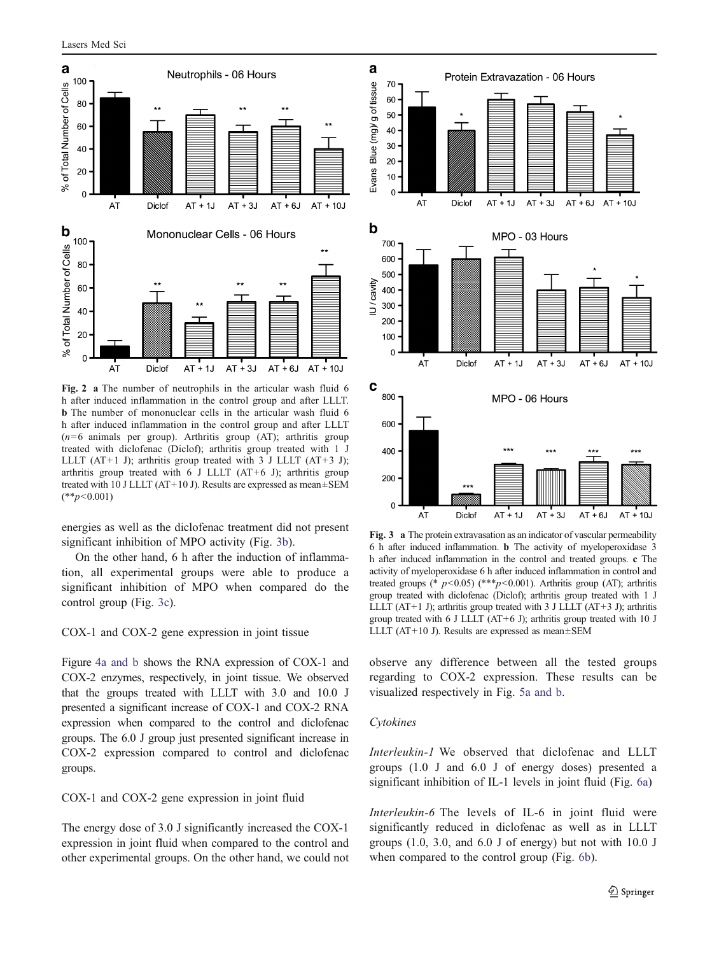<span id="page-4-0"></span>Lasers Med Sci



Fig. 2 a The number of neutrophils in the articular wash fluid 6 h after induced inflammation in the control group and after LLLT. b The number of mononuclear cells in the articular wash fluid 6 h after induced inflammation in the control group and after LLLT  $(n=6$  animals per group). Arthritis group (AT); arthritis group treated with diclofenac (Diclof); arthritis group treated with 1 J LLLT (AT+1 J); arthritis group treated with 3 J LLLT (AT+3 J); arthritis group treated with 6 J LLLT (AT+6 J); arthritis group treated with 10 J LLLT (AT+10 J). Results are expressed as mean±SEM  $(**p<0.001)$ 

energies as well as the diclofenac treatment did not present significant inhibition of MPO activity (Fig. 3b).

On the other hand, 6 h after the induction of inflammation, all experimental groups were able to produce a significant inhibition of MPO when compared do the control group (Fig. 3c).

COX-1 and COX-2 gene expression in joint tissue

Figure [4a and b](#page-5-0) shows the RNA expression of COX-1 and COX-2 enzymes, respectively, in joint tissue. We observed that the groups treated with LLLT with 3.0 and 10.0 J presented a significant increase of COX-1 and COX-2 RNA expression when compared to the control and diclofenac groups. The 6.0 J group just presented significant increase in COX-2 expression compared to control and diclofenac groups.

COX-1 and COX-2 gene expression in joint fluid

The energy dose of 3.0 J significantly increased the COX-1 expression in joint fluid when compared to the control and other experimental groups. On the other hand, we could not



Fig. 3 a The protein extravasation as an indicator of vascular permeability 6 h after induced inflammation. b The activity of myeloperoxidase 3 h after induced inflammation in the control and treated groups. c The activity of myeloperoxidase 6 h after induced inflammation in control and treated groups (\*  $p < 0.05$ ) (\*\*\* $p < 0.001$ ). Arthritis group (AT); arthritis group treated with diclofenac (Diclof); arthritis group treated with 1 J LLLT  $(AT+1)$ ; arthritis group treated with 3 J LLLT  $(AT+3)$ ; arthritis group treated with 6 J LLLT (AT+6 J); arthritis group treated with 10 J LLLT (AT+10 J). Results are expressed as mean±SEM

observe any difference between all the tested groups regarding to COX-2 expression. These results can be visualized respectively in Fig. [5a and b.](#page-5-0)

#### Cytokines

Interleukin-1 We observed that diclofenac and LLLT groups (1.0 J and 6.0 J of energy doses) presented a significant inhibition of IL-1 levels in joint fluid (Fig. [6a](#page-5-0))

Interleukin-6 The levels of IL-6 in joint fluid were significantly reduced in diclofenac as well as in LLLT groups (1.0, 3.0, and 6.0 J of energy) but not with 10.0 J when compared to the control group (Fig. [6b](#page-5-0)).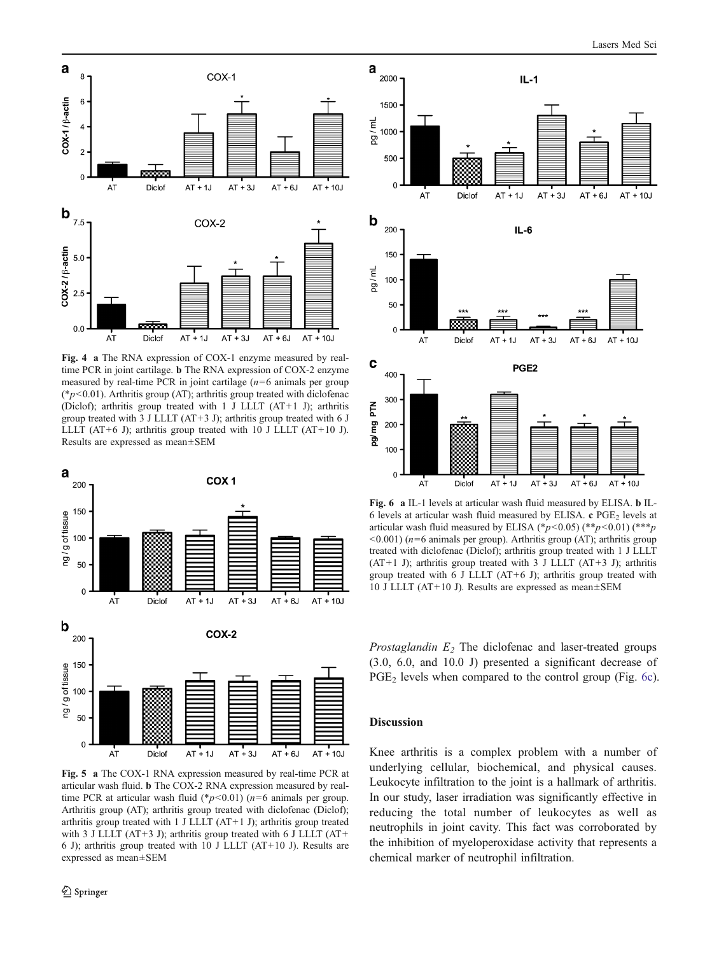<span id="page-5-0"></span>

Fig. 4 a The RNA expression of COX-1 enzyme measured by realtime PCR in joint cartilage. b The RNA expression of COX-2 enzyme measured by real-time PCR in joint cartilage  $(n=6 \text{ animals per group})$ ( $p<0.01$ ). Arthritis group (AT); arthritis group treated with diclofenac (Diclof); arthritis group treated with 1 J LLLT (AT+1 J); arthritis group treated with 3 J LLLT (AT+3 J); arthritis group treated with 6 J LLLT (AT+6 J); arthritis group treated with 10 J LLLT (AT+10 J). Results are expressed as mean±SEM



Fig. 5 a The COX-1 RNA expression measured by real-time PCR at articular wash fluid. b The COX-2 RNA expression measured by realtime PCR at articular wash fluid (\* $p$ <0.01) ( $n$ =6 animals per group. Arthritis group (AT); arthritis group treated with diclofenac (Diclof); arthritis group treated with 1 J LLLT (AT+1 J); arthritis group treated with 3 J LLLT (AT+3 J); arthritis group treated with 6 J LLLT (AT+ 6 J); arthritis group treated with 10 J LLLT (AT+10 J). Results are expressed as mean±SEM



Fig. 6 a IL-1 levels at articular wash fluid measured by ELISA. b IL-6 levels at articular wash fluid measured by ELISA.  $c$  PGE<sub>2</sub> levels at articular wash fluid measured by ELISA (\*p<0.05) (\*\*p<0.01) (\*\*\*p  $\leq$  0.001) ( $n=6$  animals per group). Arthritis group (AT); arthritis group treated with diclofenac (Diclof); arthritis group treated with 1 J LLLT (AT+1 J); arthritis group treated with 3 J LLLT (AT+3 J); arthritis group treated with 6 J LLLT  $(AT+6 J)$ ; arthritis group treated with 10 J LLLT (AT+10 J). Results are expressed as mean±SEM

*Prostaglandin*  $E_2$  The diclofenac and laser-treated groups (3.0, 6.0, and 10.0 J) presented a significant decrease of PGE<sub>2</sub> levels when compared to the control group (Fig. 6c).

#### Discussion

Knee arthritis is a complex problem with a number of underlying cellular, biochemical, and physical causes. Leukocyte infiltration to the joint is a hallmark of arthritis. In our study, laser irradiation was significantly effective in reducing the total number of leukocytes as well as neutrophils in joint cavity. This fact was corroborated by the inhibition of myeloperoxidase activity that represents a chemical marker of neutrophil infiltration.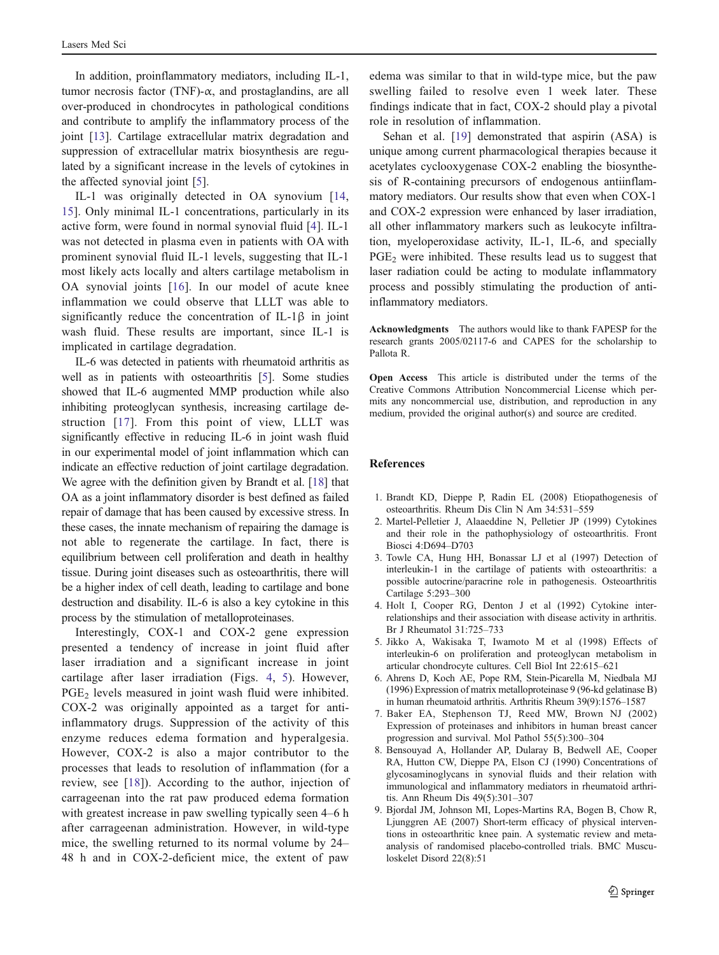<span id="page-6-0"></span>In addition, proinflammatory mediators, including IL-1, tumor necrosis factor (TNF)- $\alpha$ , and prostaglandins, are all over-produced in chondrocytes in pathological conditions and contribute to amplify the inflammatory process of the joint [\[13](#page-7-0)]. Cartilage extracellular matrix degradation and suppression of extracellular matrix biosynthesis are regulated by a significant increase in the levels of cytokines in the affected synovial joint [5].

IL-1 was originally detected in OA synovium [\[14,](#page-7-0) [15](#page-7-0)]. Only minimal IL-1 concentrations, particularly in its active form, were found in normal synovial fluid [4]. IL-1 was not detected in plasma even in patients with OA with prominent synovial fluid IL-1 levels, suggesting that IL-1 most likely acts locally and alters cartilage metabolism in OA synovial joints [[16](#page-7-0)]. In our model of acute knee inflammation we could observe that LLLT was able to significantly reduce the concentration of IL-1β in joint wash fluid. These results are important, since IL-1 is implicated in cartilage degradation.

IL-6 was detected in patients with rheumatoid arthritis as well as in patients with osteoarthritis [5]. Some studies showed that IL-6 augmented MMP production while also inhibiting proteoglycan synthesis, increasing cartilage destruction [[17\]](#page-7-0). From this point of view, LLLT was significantly effective in reducing IL-6 in joint wash fluid in our experimental model of joint inflammation which can indicate an effective reduction of joint cartilage degradation. We agree with the definition given by Brandt et al. [[18](#page-7-0)] that OA as a joint inflammatory disorder is best defined as failed repair of damage that has been caused by excessive stress. In these cases, the innate mechanism of repairing the damage is not able to regenerate the cartilage. In fact, there is equilibrium between cell proliferation and death in healthy tissue. During joint diseases such as osteoarthritis, there will be a higher index of cell death, leading to cartilage and bone destruction and disability. IL-6 is also a key cytokine in this process by the stimulation of metalloproteinases.

Interestingly, COX-1 and COX-2 gene expression presented a tendency of increase in joint fluid after laser irradiation and a significant increase in joint cartilage after laser irradiation (Figs. [4,](#page-5-0) [5\)](#page-5-0). However,  $PGE<sub>2</sub>$  levels measured in joint wash fluid were inhibited. COX-2 was originally appointed as a target for antiinflammatory drugs. Suppression of the activity of this enzyme reduces edema formation and hyperalgesia. However, COX-2 is also a major contributor to the processes that leads to resolution of inflammation (for a review, see [\[18](#page-7-0)]). According to the author, injection of carrageenan into the rat paw produced edema formation with greatest increase in paw swelling typically seen 4–6 h after carrageenan administration. However, in wild-type mice, the swelling returned to its normal volume by 24– 48 h and in COX-2-deficient mice, the extent of paw

edema was similar to that in wild-type mice, but the paw swelling failed to resolve even 1 week later. These findings indicate that in fact, COX-2 should play a pivotal role in resolution of inflammation.

Sehan et al. [\[19](#page-7-0)] demonstrated that aspirin (ASA) is unique among current pharmacological therapies because it acetylates cyclooxygenase COX-2 enabling the biosynthesis of R-containing precursors of endogenous antiinflammatory mediators. Our results show that even when COX-1 and COX-2 expression were enhanced by laser irradiation, all other inflammatory markers such as leukocyte infiltration, myeloperoxidase activity, IL-1, IL-6, and specially  $PGE<sub>2</sub>$  were inhibited. These results lead us to suggest that laser radiation could be acting to modulate inflammatory process and possibly stimulating the production of antiinflammatory mediators.

Acknowledgments The authors would like to thank FAPESP for the research grants 2005/02117-6 and CAPES for the scholarship to Pallota R.

Open Access This article is distributed under the terms of the Creative Commons Attribution Noncommercial License which permits any noncommercial use, distribution, and reproduction in any medium, provided the original author(s) and source are credited.

#### References

- 1. Brandt KD, Dieppe P, Radin EL (2008) Etiopathogenesis of osteoarthritis. Rheum Dis Clin N Am 34:531–559
- 2. Martel-Pelletier J, Alaaeddine N, Pelletier JP (1999) Cytokines and their role in the pathophysiology of osteoarthritis. Front Biosci 4:D694–D703
- 3. Towle CA, Hung HH, Bonassar LJ et al (1997) Detection of interleukin-1 in the cartilage of patients with osteoarthritis: a possible autocrine/paracrine role in pathogenesis. Osteoarthritis Cartilage 5:293–300
- 4. Holt I, Cooper RG, Denton J et al (1992) Cytokine interrelationships and their association with disease activity in arthritis. Br J Rheumatol 31:725–733
- 5. Jikko A, Wakisaka T, Iwamoto M et al (1998) Effects of interleukin-6 on proliferation and proteoglycan metabolism in articular chondrocyte cultures. Cell Biol Int 22:615–621
- 6. Ahrens D, Koch AE, Pope RM, Stein-Picarella M, Niedbala MJ (1996) Expression of matrix metalloproteinase 9 (96-kd gelatinase B) in human rheumatoid arthritis. Arthritis Rheum 39(9):1576–1587
- 7. Baker EA, Stephenson TJ, Reed MW, Brown NJ (2002) Expression of proteinases and inhibitors in human breast cancer progression and survival. Mol Pathol 55(5):300–304
- 8. Bensouyad A, Hollander AP, Dularay B, Bedwell AE, Cooper RA, Hutton CW, Dieppe PA, Elson CJ (1990) Concentrations of glycosaminoglycans in synovial fluids and their relation with immunological and inflammatory mediators in rheumatoid arthritis. Ann Rheum Dis 49(5):301–307
- 9. Bjordal JM, Johnson MI, Lopes-Martins RA, Bogen B, Chow R, Ljunggren AE (2007) Short-term efficacy of physical interventions in osteoarthritic knee pain. A systematic review and metaanalysis of randomised placebo-controlled trials. BMC Musculoskelet Disord 22(8):51